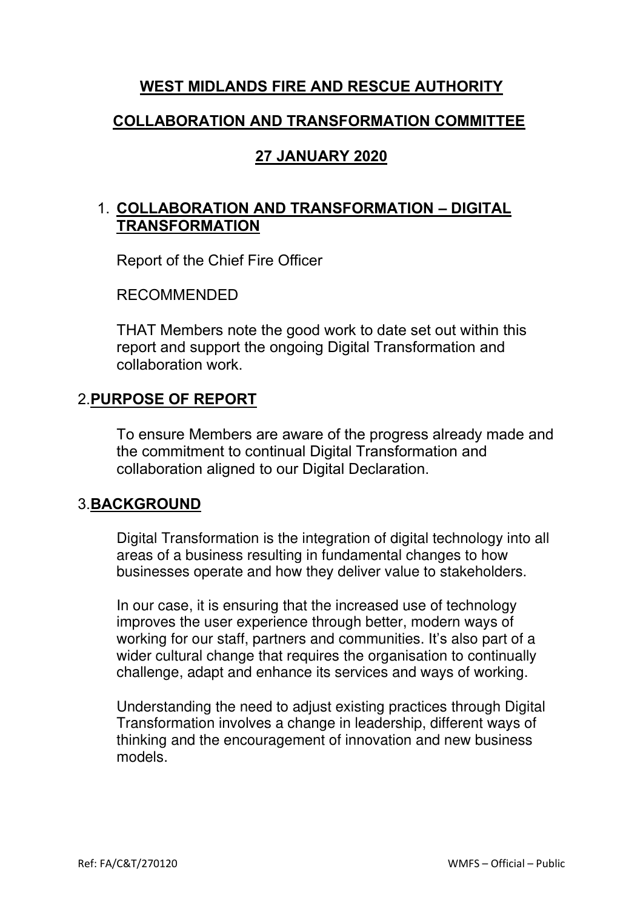### **WEST MIDLANDS FIRE AND RESCUE AUTHORITY**

### **COLLABORATION AND TRANSFORMATION COMMITTEE**

### **27 JANUARY 2020**

### 1. **COLLABORATION AND TRANSFORMATION – DIGITAL TRANSFORMATION**

Report of the Chief Fire Officer

RECOMMENDED

THAT Members note the good work to date set out within this report and support the ongoing Digital Transformation and collaboration work.

### 2.**PURPOSE OF REPORT**

To ensure Members are aware of the progress already made and the commitment to continual Digital Transformation and collaboration aligned to our Digital Declaration.

#### 3.**BACKGROUND**

Digital Transformation is the integration of digital technology into all areas of a business resulting in fundamental changes to how businesses operate and how they deliver value to stakeholders.

In our case, it is ensuring that the increased use of technology improves the user experience through better, modern ways of working for our staff, partners and communities. It's also part of a wider cultural change that requires the organisation to continually challenge, adapt and enhance its services and ways of working.

Understanding the need to adjust existing practices through Digital Transformation involves a change in leadership, different ways of thinking and the encouragement of innovation and new business models.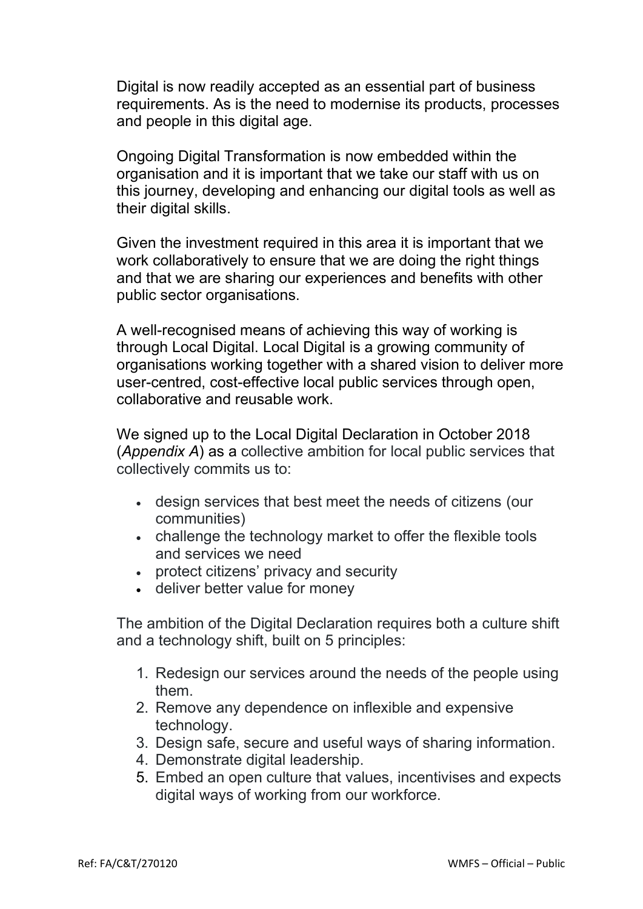Digital is now readily accepted as an essential part of business requirements. As is the need to modernise its products, processes and people in this digital age.

Ongoing Digital Transformation is now embedded within the organisation and it is important that we take our staff with us on this journey, developing and enhancing our digital tools as well as their digital skills.

Given the investment required in this area it is important that we work collaboratively to ensure that we are doing the right things and that we are sharing our experiences and benefits with other public sector organisations.

A well-recognised means of achieving this way of working is through Local Digital. Local Digital is a growing community of organisations working together with a shared vision to deliver more user-centred, cost-effective local public services through open, collaborative and reusable work.

We signed up to the Local Digital Declaration in October 2018 (*Appendix A*) as a collective ambition for local public services that collectively commits us to:

- design services that best meet the needs of citizens (our communities)
- challenge the technology market to offer the flexible tools and services we need
- protect citizens' privacy and security
- deliver better value for money

The ambition of the Digital Declaration requires both a culture shift and a technology shift, built on 5 principles:

- 1. Redesign our services around the needs of the people using them.
- 2. Remove any dependence on inflexible and expensive technology.
- 3. Design safe, secure and useful ways of sharing information.
- 4. Demonstrate digital leadership.
- 5. Embed an open culture that values, incentivises and expects digital ways of working from our workforce.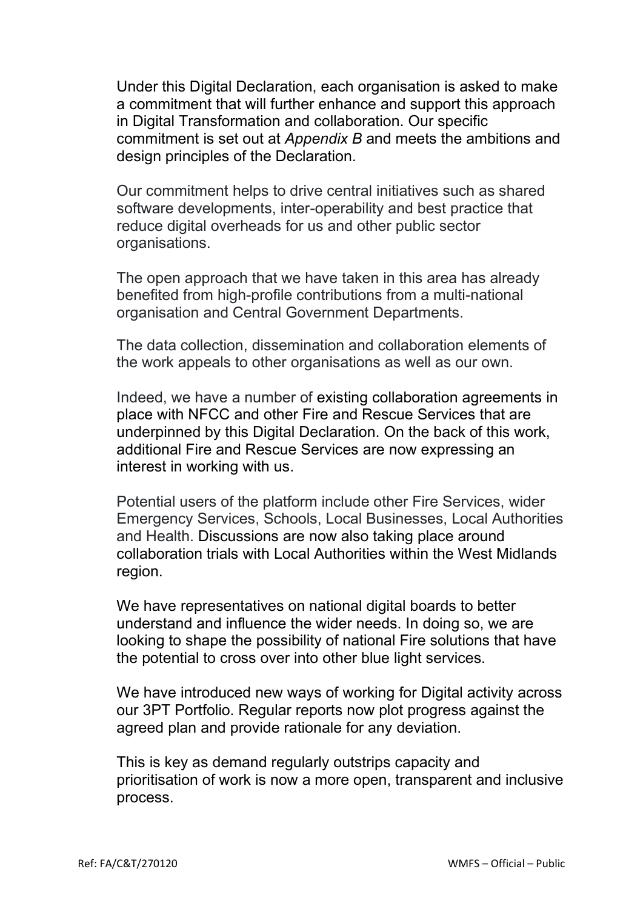Under this Digital Declaration, each organisation is asked to make a commitment that will further enhance and support this approach in Digital Transformation and collaboration. Our specific commitment is set out at *Appendix B* and meets the ambitions and design principles of the Declaration.

Our commitment helps to drive central initiatives such as shared software developments, inter-operability and best practice that reduce digital overheads for us and other public sector organisations.

The open approach that we have taken in this area has already benefited from high-profile contributions from a multi-national organisation and Central Government Departments.

The data collection, dissemination and collaboration elements of the work appeals to other organisations as well as our own.

Indeed, we have a number of existing collaboration agreements in place with NFCC and other Fire and Rescue Services that are underpinned by this Digital Declaration. On the back of this work, additional Fire and Rescue Services are now expressing an interest in working with us.

Potential users of the platform include other Fire Services, wider Emergency Services, Schools, Local Businesses, Local Authorities and Health. Discussions are now also taking place around collaboration trials with Local Authorities within the West Midlands region.

We have representatives on national digital boards to better understand and influence the wider needs. In doing so, we are looking to shape the possibility of national Fire solutions that have the potential to cross over into other blue light services.

We have introduced new ways of working for Digital activity across our 3PT Portfolio. Regular reports now plot progress against the agreed plan and provide rationale for any deviation.

This is key as demand regularly outstrips capacity and prioritisation of work is now a more open, transparent and inclusive process.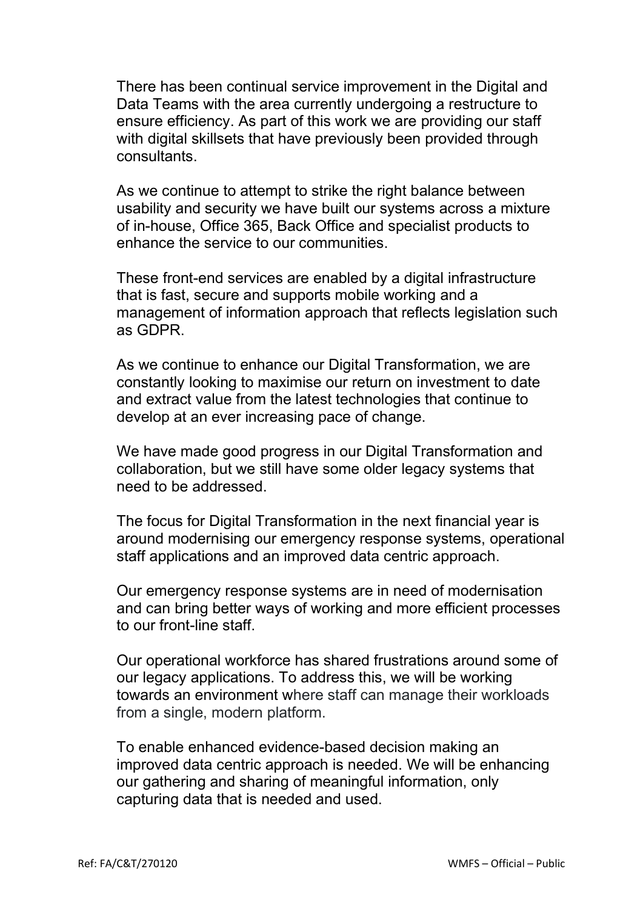There has been continual service improvement in the Digital and Data Teams with the area currently undergoing a restructure to ensure efficiency. As part of this work we are providing our staff with digital skillsets that have previously been provided through consultants.

As we continue to attempt to strike the right balance between usability and security we have built our systems across a mixture of in-house, Office 365, Back Office and specialist products to enhance the service to our communities.

These front-end services are enabled by a digital infrastructure that is fast, secure and supports mobile working and a management of information approach that reflects legislation such as GDPR.

As we continue to enhance our Digital Transformation, we are constantly looking to maximise our return on investment to date and extract value from the latest technologies that continue to develop at an ever increasing pace of change.

We have made good progress in our Digital Transformation and collaboration, but we still have some older legacy systems that need to be addressed.

The focus for Digital Transformation in the next financial year is around modernising our emergency response systems, operational staff applications and an improved data centric approach.

Our emergency response systems are in need of modernisation and can bring better ways of working and more efficient processes to our front-line staff.

Our operational workforce has shared frustrations around some of our legacy applications. To address this, we will be working towards an environment where staff can manage their workloads from a single, modern platform.

To enable enhanced evidence-based decision making an improved data centric approach is needed. We will be enhancing our gathering and sharing of meaningful information, only capturing data that is needed and used.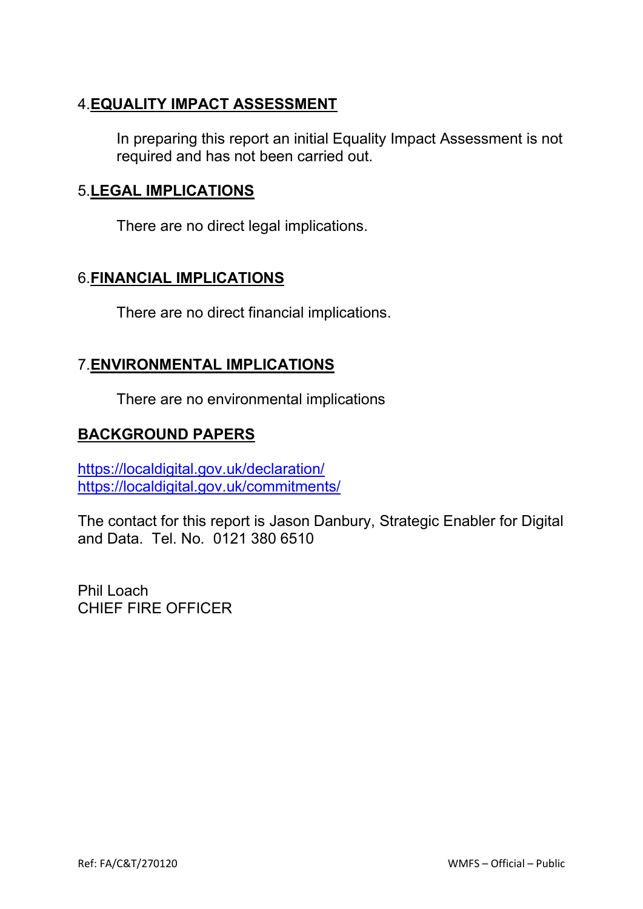## 4.**EQUALITY IMPACT ASSESSMENT**

In preparing this report an initial Equality Impact Assessment is not required and has not been carried out.

### 5.**LEGAL IMPLICATIONS**

There are no direct legal implications.

### 6.**FINANCIAL IMPLICATIONS**

There are no direct financial implications.

### 7.**ENVIRONMENTAL IMPLICATIONS**

There are no environmental implications

### **BACKGROUND PAPERS**

<https://localdigital.gov.uk/declaration/> <https://localdigital.gov.uk/commitments/>

The contact for this report is Jason Danbury, Strategic Enabler for Digital and Data. Tel. No. 0121 380 6510

Phil Loach CHIEF FIRE OFFICER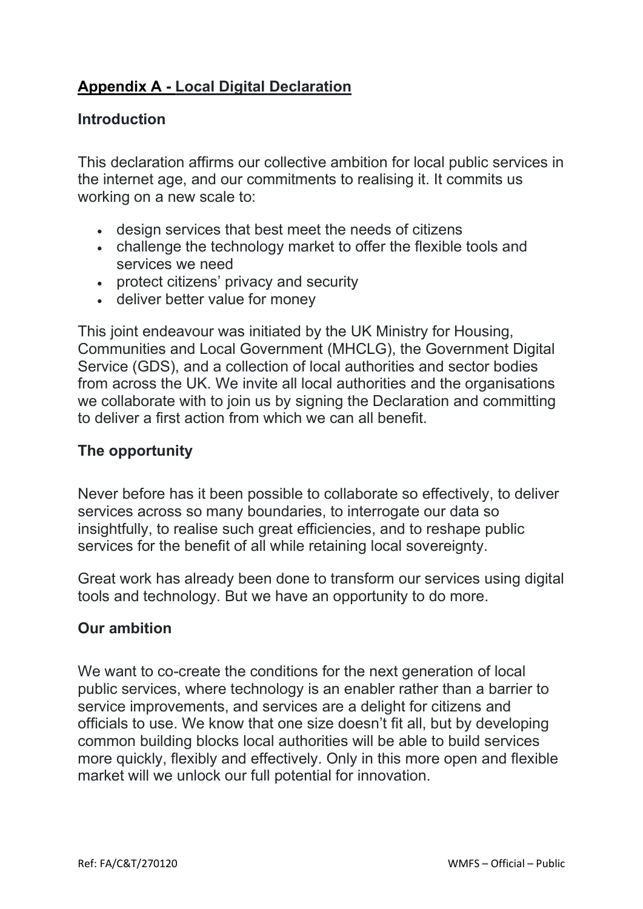# **Appendix A - Local Digital Declaration**

### **Introduction**

This declaration affirms our collective ambition for local public services in the internet age, and our commitments to realising it. It commits us working on a new scale to:

- design services that best meet the needs of citizens
- challenge the technology market to offer the flexible tools and services we need
- protect citizens' privacy and security
- deliver better value for money

This joint endeavour was initiated by the UK Ministry for Housing, Communities and Local Government (MHCLG), the Government Digital Service (GDS), and a collection of local authorities and sector bodies from across the UK. We invite all local authorities and the organisations we collaborate with to join us by signing the Declaration and committing to deliver a first action from which we can all benefit.

### **The opportunity**

Never before has it been possible to collaborate so effectively, to deliver services across so many boundaries, to interrogate our data so insightfully, to realise such great efficiencies, and to reshape public services for the benefit of all while retaining local sovereignty.

Great work has already been done to transform our services using digital tools and technology. But we have an opportunity to do more.

#### **Our ambition**

We want to co-create the conditions for the next generation of local public services, where technology is an enabler rather than a barrier to service improvements, and services are a delight for citizens and officials to use. We know that one size doesn't fit all, but by developing common building blocks local authorities will be able to build services more quickly, flexibly and effectively. Only in this more open and flexible market will we unlock our full potential for innovation.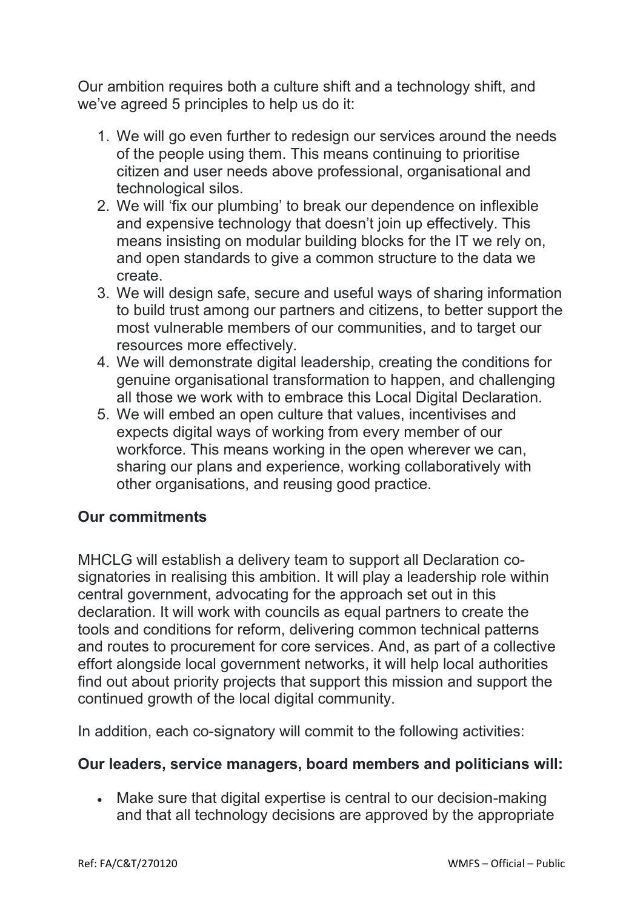Our ambition requires both a culture shift and a technology shift, and we've agreed 5 principles to help us do it:

- 1. We will go even further to redesign our services around the needs of the people using them. This means continuing to prioritise citizen and user needs above professional, organisational and technological silos.
- 2. We will 'fix our plumbing' to break our dependence on inflexible and expensive technology that doesn't join up effectively. This means insisting on modular building blocks for the IT we rely on, and open standards to give a common structure to the data we create.
- 3. We will design safe, secure and useful ways of sharing information to build trust among our partners and citizens, to better support the most vulnerable members of our communities, and to target our resources more effectively.
- 4. We will demonstrate digital leadership, creating the conditions for genuine organisational transformation to happen, and challenging all those we work with to embrace this Local Digital Declaration.
- 5. We will embed an open culture that values, incentivises and expects digital ways of working from every member of our workforce. This means working in the open wherever we can, sharing our plans and experience, working collaboratively with other organisations, and reusing good practice.

### **Our commitments**

MHCLG will establish a delivery team to support all Declaration cosignatories in realising this ambition. It will play a leadership role within central government, advocating for the approach set out in this declaration. It will work with councils as equal partners to create the tools and conditions for reform, delivering common technical patterns and routes to procurement for core services. And, as part of a collective effort alongside local government networks, it will help local authorities find out about priority projects that support this mission and support the continued growth of the local digital community.

In addition, each co-signatory will commit to the following activities:

### **Our leaders, service managers, board members and politicians will:**

• Make sure that digital expertise is central to our decision-making and that all technology decisions are approved by the appropriate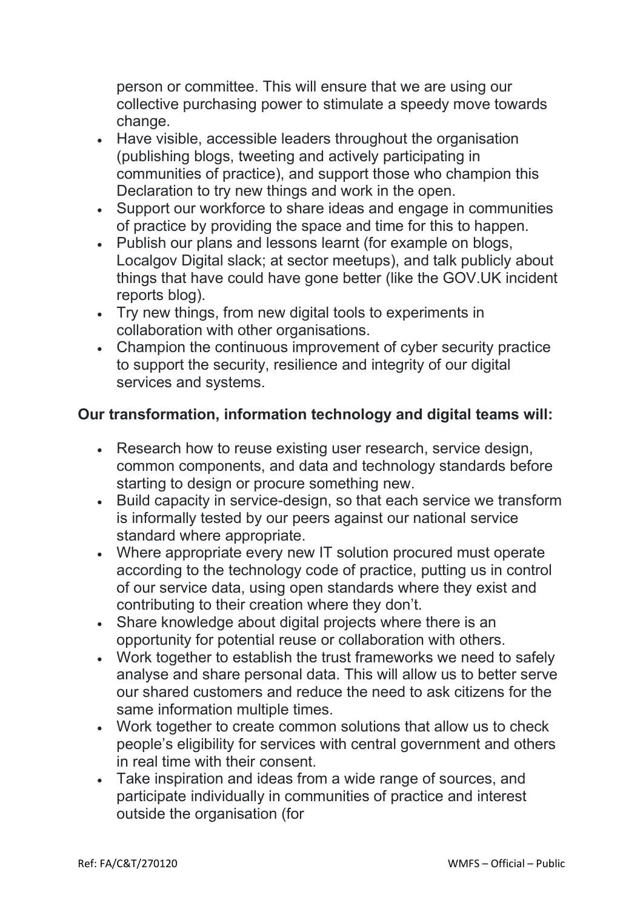person or committee. This will ensure that we are using our collective purchasing power to stimulate a speedy move towards change.

- Have visible, accessible leaders throughout the organisation (publishing blogs, tweeting and actively participating in communities of practice), and support those who champion this Declaration to try new things and work in the open.
- Support our workforce to share ideas and engage in communities of practice by providing the space and time for this to happen.
- Publish our plans and lessons learnt (for example on blogs, Localgov Digital slack; at sector meetups), and talk publicly about things that have could have gone better (like the GOV.UK incident reports blog).
- Try new things, from new digital tools to experiments in collaboration with other organisations.
- Champion the continuous improvement of cyber security practice to support the security, resilience and integrity of our digital services and systems.

# **Our transformation, information technology and digital teams will:**

- Research how to reuse existing user research, service design, common components, and data and technology standards before starting to design or procure something new.
- Build capacity in service-design, so that each service we transform is informally tested by our peers against our national service standard where appropriate.
- Where appropriate every new IT solution procured must operate according to the technology code of practice, putting us in control of our service data, using open standards where they exist and contributing to their creation where they don't.
- Share knowledge about digital projects where there is an opportunity for potential reuse or collaboration with others.
- Work together to establish the trust frameworks we need to safely analyse and share personal data. This will allow us to better serve our shared customers and reduce the need to ask citizens for the same information multiple times.
- Work together to create common solutions that allow us to check people's eligibility for services with central government and others in real time with their consent.
- Take inspiration and ideas from a wide range of sources, and participate individually in communities of practice and interest outside the organisation (for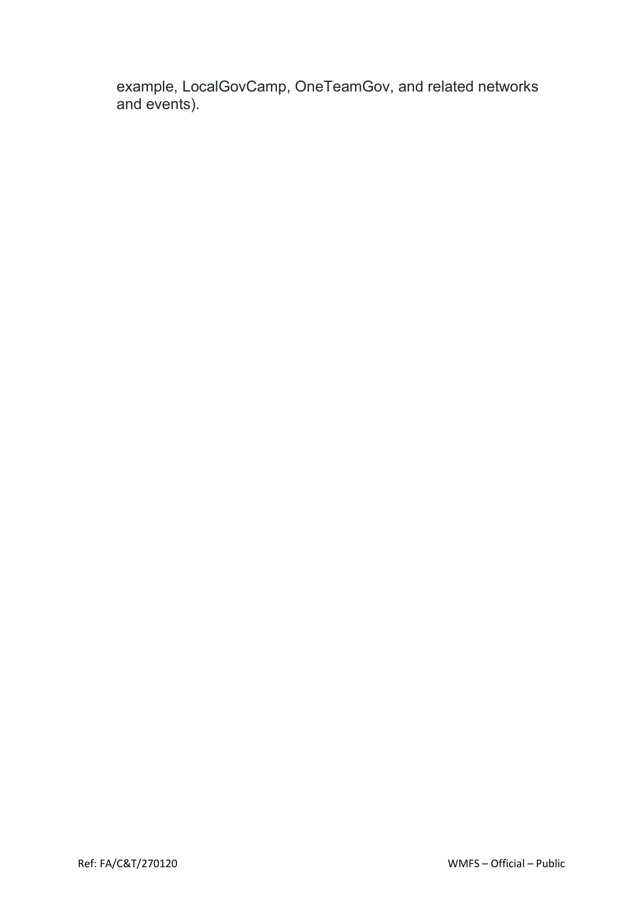example, LocalGovCamp, OneTeamGov, and related networks and events).